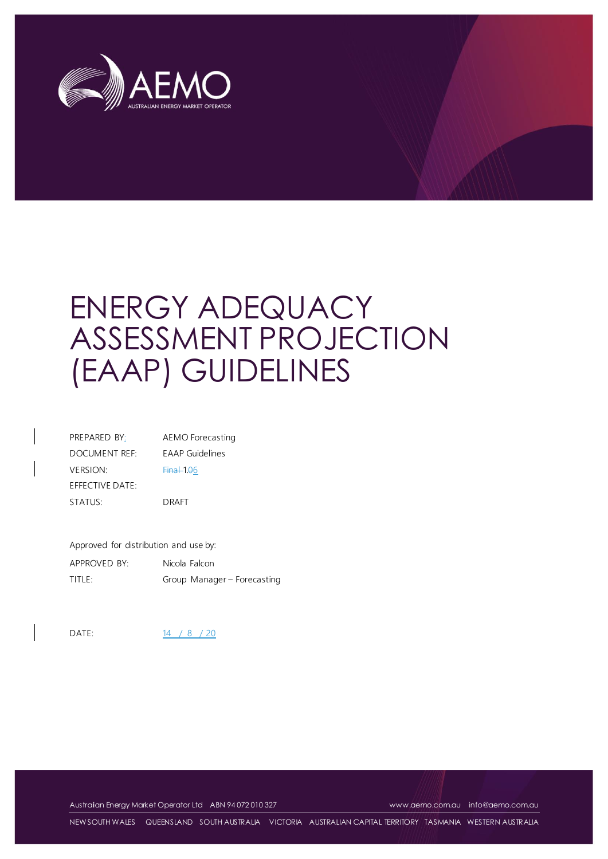

# ENERGY ADEQUACY ASSESSMENT PROJECTION (EAAP) GUIDELINES

| PREPARED BY:    | AEMO Forecasting       |
|-----------------|------------------------|
| DOCUMENT REF:   | <b>EAAP</b> Guidelines |
| <b>VERSION:</b> | $Final1.06$            |
| EFFECTIVE DATE: |                        |
| STATUS:         | DRAFT                  |

Approved for distribution and use by: APPROVED BY: Nicola Falcon TITLE: Group Manager – Forecasting

DATE: 14 / 8 / 20

Australian Energy Market Operator Ltd ABN 94 072 010 327 [www.aemo.com.au](http://www.aemo.com.au/) [info@aemo.com.au](mailto:info@aemo.com.au)

NEW SOUTH WALES QUEENSLAND SOUTH AUSTRALIA VICTORIA AUSTRALIAN CAPITAL TERRITORY TASMANIA WESTERN AUSTRALIA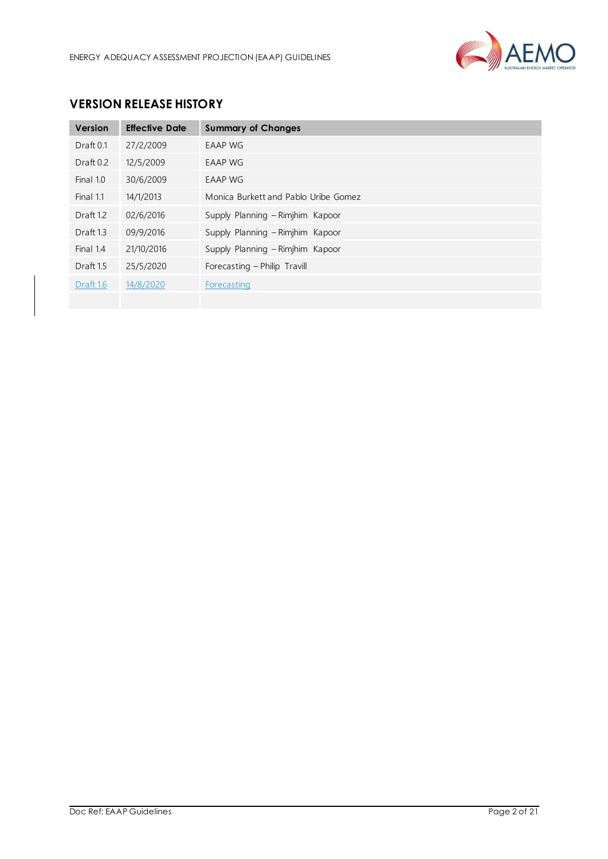

## **VERSION RELEASE HISTORY**

| Version              | <b>Effective Date</b> | <b>Summary of Changes</b>            |
|----------------------|-----------------------|--------------------------------------|
| Draft 0.1            | 27/2/2009             | <b>EAAP WG</b>                       |
| Draft 0.2            | 12/5/2009             | EAAP WG                              |
| Final 1.0            | 30/6/2009             | <b>EAAP WG</b>                       |
| Final 1.1            | 14/1/2013             | Monica Burkett and Pablo Uribe Gomez |
| Draft 1.2            | 02/6/2016             | Supply Planning - Rimjhim Kapoor     |
| Draft <sub>13</sub>  | 09/9/2016             | Supply Planning - Rimjhim Kapoor     |
| Final 1.4            | 21/10/2016            | Supply Planning - Rimjhim Kapoor     |
| Draft <sub>1.5</sub> | 25/5/2020             | Forecasting - Philip Travill         |
| Draft 1.6            | 14/8/2020             | Forecasting                          |
|                      |                       |                                      |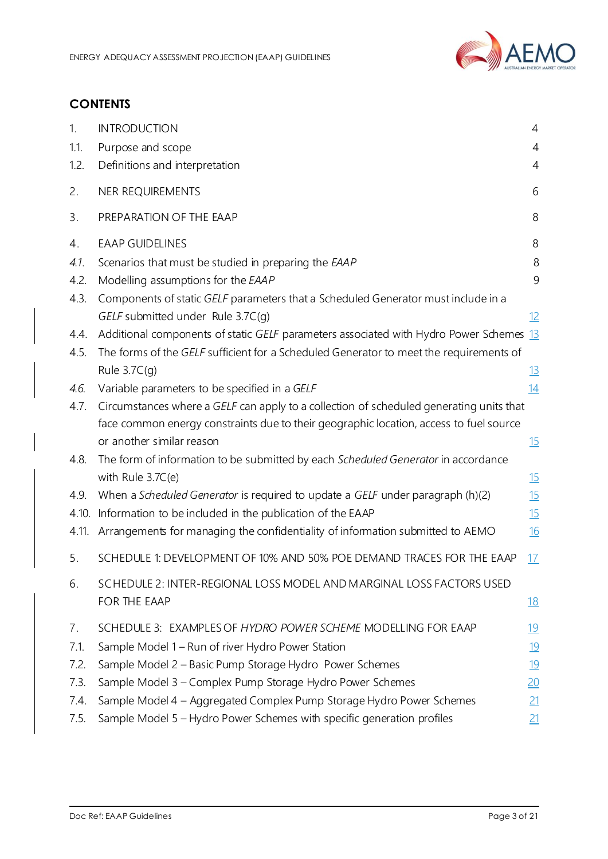

## **CONTENTS**

| 1.    | <b>INTRODUCTION</b>                                                                     | $\overline{4}$ |
|-------|-----------------------------------------------------------------------------------------|----------------|
| 1.1.  | Purpose and scope                                                                       | $\overline{4}$ |
| 1.2.  | Definitions and interpretation                                                          | 4              |
| 2.    | NER REQUIREMENTS                                                                        | 6              |
| 3.    | PREPARATION OF THE EAAP                                                                 | 8              |
| 4.    | <b>EAAP GUIDELINES</b>                                                                  | 8              |
| 4.1.  | Scenarios that must be studied in preparing the EAAP                                    | 8              |
| 4.2.  | Modelling assumptions for the EAAP                                                      | 9              |
| 4.3.  | Components of static GELF parameters that a Scheduled Generator must include in a       |                |
|       | GELF submitted under Rule 3.7C(q)                                                       | <u>12</u>      |
| 4.4.  | Additional components of static GELF parameters associated with Hydro Power Schemes 13  |                |
| 4.5.  | The forms of the GELF sufficient for a Scheduled Generator to meet the requirements of  |                |
|       | Rule $3.7C(q)$                                                                          | <u>13</u>      |
| 4.6.  | Variable parameters to be specified in a GELF                                           | 14             |
| 4.7.  | Circumstances where a GELF can apply to a collection of scheduled generating units that |                |
|       | face common energy constraints due to their geographic location, access to fuel source  |                |
|       | or another similar reason                                                               | <u>15</u>      |
| 4.8.  | The form of information to be submitted by each Scheduled Generator in accordance       |                |
|       | with Rule 3.7C(e)                                                                       | 15             |
| 4.9.  | When a Scheduled Generator is required to update a GELF under paragraph (h)(2)          | 15             |
| 4.10. | Information to be included in the publication of the EAAP                               | 15             |
| 4.11. | Arrangements for managing the confidentiality of information submitted to AEMO          | <u>16</u>      |
| 5.    | SCHEDULE 1: DEVELOPMENT OF 10% AND 50% POE DEMAND TRACES FOR THE EAAP                   | <u>17</u>      |
| 6.    | SCHEDULE 2: INTER-REGIONAL LOSS MODEL AND MARGINAL LOSS FACTORS USED                    |                |
|       | FOR THE EAAP                                                                            | <u> 18</u>     |
| 7.    | SCHEDULE 3: EXAMPLES OF HYDRO POWER SCHEME MODELLING FOR EAAP                           | <u>19</u>      |
| 7.1.  | Sample Model 1 - Run of river Hydro Power Station                                       | <u>19</u>      |
| 7.2.  | Sample Model 2 - Basic Pump Storage Hydro Power Schemes                                 | <u>19</u>      |
| 7.3.  | Sample Model 3 - Complex Pump Storage Hydro Power Schemes                               | 20             |
| 7.4.  | Sample Model 4 - Aggregated Complex Pump Storage Hydro Power Schemes                    | 21             |
| 7.5.  | Sample Model 5 - Hydro Power Schemes with specific generation profiles                  | 21             |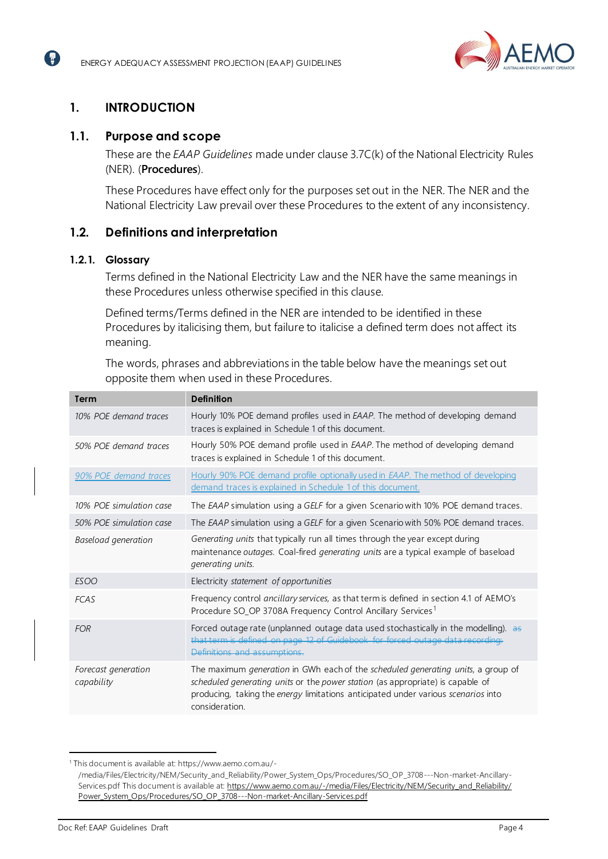

# <span id="page-3-0"></span>**1. INTRODUCTION**

( 2

## <span id="page-3-1"></span>**1.1. Purpose and scope**

These are the *EAAP Guidelines* made under clause 3.7C(k) of the National Electricity Rules (NER). (**Procedures**).

These Procedures have effect only for the purposes set out in the NER. The NER and the National Electricity Law prevail over these Procedures to the extent of any inconsistency.

## <span id="page-3-2"></span>**1.2. Definitions and interpretation**

#### **1.2.1. Glossary**

Terms defined in the National Electricity Law and the NER have the same meanings in these Procedures unless otherwise specified in this clause.

Defined terms/Terms defined in the NER are intended to be identified in these Procedures by italicising them, but failure to italicise a defined term does not affect its meaning.

The words, phrases and abbreviations in the table below have the meanings set out opposite them when used in these Procedures.

| <b>Term</b>                       | <b>Definition</b>                                                                                                                                                                                                                                                                |
|-----------------------------------|----------------------------------------------------------------------------------------------------------------------------------------------------------------------------------------------------------------------------------------------------------------------------------|
| 10% POE demand traces             | Hourly 10% POE demand profiles used in <i>EAAP</i> . The method of developing demand<br>traces is explained in Schedule 1 of this document.                                                                                                                                      |
| 50% POE demand traces             | Hourly 50% POE demand profile used in EAAP. The method of developing demand<br>traces is explained in Schedule 1 of this document.                                                                                                                                               |
| 90% POE demand traces             | Hourly 90% POE demand profile optionally used in <i>EAAP</i> . The method of developing<br>demand traces is explained in Schedule 1 of this document.                                                                                                                            |
| 10% POE simulation case           | The EAAP simulation using a GELF for a given Scenario with 10% POE demand traces.                                                                                                                                                                                                |
| 50% POE simulation case           | The EAAP simulation using a GELF for a given Scenario with 50% POE demand traces.                                                                                                                                                                                                |
| Baseload generation               | Generating units that typically run all times through the year except during<br>maintenance <i>outages</i> . Coal-fired <i>generating units</i> are a typical example of baseload<br><i>generating units.</i>                                                                    |
| <b>ESOO</b>                       | Electricity statement of opportunities                                                                                                                                                                                                                                           |
| <b>FCAS</b>                       | Frequency control ancillary services, as that term is defined in section 4.1 of AEMO's<br>Procedure SO_OP 3708A Frequency Control Ancillary Services <sup>1</sup>                                                                                                                |
| <b>FOR</b>                        | Forced outage rate (unplanned outage data used stochastically in the modelling). as<br>that term is defined on page 12 of Guidebook for forced outage data recording:<br>Definitions and assumptions.                                                                            |
| Forecast generation<br>capability | The maximum generation in GWh each of the scheduled generating units, a group of<br>scheduled generating units or the power station (as appropriate) is capable of<br>producing, taking the <i>energy</i> limitations anticipated under various scenarios into<br>consideration. |

<sup>1</sup> This document is available at: https://www.aemo.com.au/- /media/Files/Electricity/NEM/Security\_and\_Reliability/Power\_System\_Ops/Procedures/SO\_OP\_3708---Non-market-Ancillary-Services.pdf This document is available at[: https://www.aemo.com.au/-/media/Files/Electricity/NEM/Security\\_and\\_Reliability/](https://www.aemo.com.au/-/media/Files/Electricity/NEM/Security_and_Reliability/Power_System_Ops/Procedures/SO_OP_3708---Non-market-Ancillary-Services.pdf) [Power\\_System\\_Ops/Procedures/SO\\_OP\\_3708---Non-market-Ancillary-Services.pdf](https://www.aemo.com.au/-/media/Files/Electricity/NEM/Security_and_Reliability/Power_System_Ops/Procedures/SO_OP_3708---Non-market-Ancillary-Services.pdf)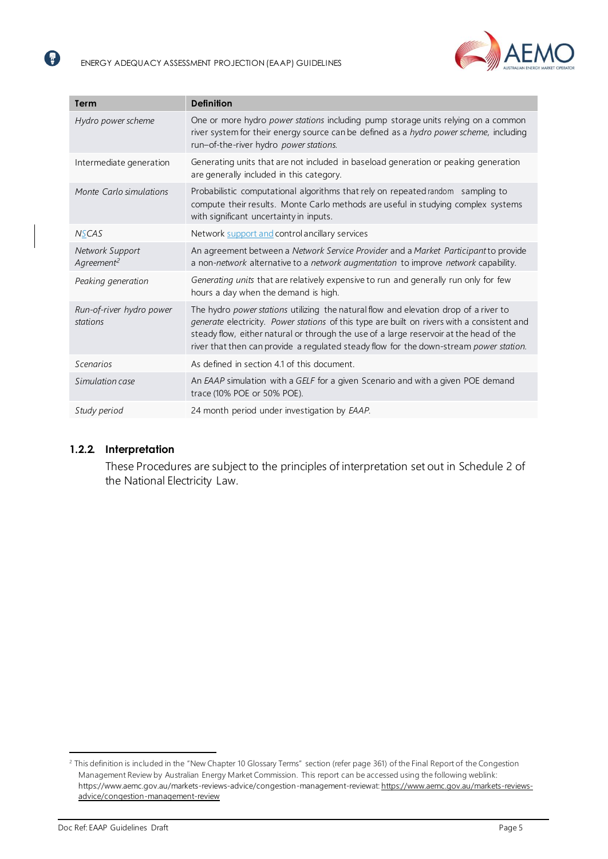

| <b>Term</b>                               | <b>Definition</b>                                                                                                                                                                                                                                                                                                                                                       |
|-------------------------------------------|-------------------------------------------------------------------------------------------------------------------------------------------------------------------------------------------------------------------------------------------------------------------------------------------------------------------------------------------------------------------------|
| Hydro power scheme                        | One or more hydro power stations including pump storage units relying on a common<br>river system for their energy source can be defined as a hydro power scheme, including<br>run-of-the-river hydro power stations.                                                                                                                                                   |
| Intermediate generation                   | Generating units that are not included in baseload generation or peaking generation<br>are generally included in this category.                                                                                                                                                                                                                                         |
| Monte Carlo simulations                   | Probabilistic computational algorithms that rely on repeated random sampling to<br>compute their results. Monte Carlo methods are useful in studying complex systems<br>with significant uncertainty in inputs.                                                                                                                                                         |
| <b>NSCAS</b>                              | Network support and control ancillary services                                                                                                                                                                                                                                                                                                                          |
| Network Support<br>Agreement <sup>2</sup> | An agreement between a Network Service Provider and a Market Participant to provide<br>a non-network alternative to a network augmentation to improve network capability.                                                                                                                                                                                               |
| Peaking generation                        | Generating units that are relatively expensive to run and generally run only for few<br>hours a day when the demand is high.                                                                                                                                                                                                                                            |
| Run-of-river hydro power<br>stations      | The hydro power stations utilizing the natural flow and elevation drop of a river to<br>generate electricity. Power stations of this type are built on rivers with a consistent and<br>steady flow, either natural or through the use of a large reservoir at the head of the<br>river that then can provide a regulated steady flow for the down-stream power station. |
| Scenarios                                 | As defined in section 4.1 of this document.                                                                                                                                                                                                                                                                                                                             |
| Simulation case                           | An EAAP simulation with a GELF for a given Scenario and with a given POE demand<br>trace (10% POE or 50% POE).                                                                                                                                                                                                                                                          |
| Study period                              | 24 month period under investigation by EAAP.                                                                                                                                                                                                                                                                                                                            |

#### **1.2.2. Interpretation**

8

These Procedures are subject to the principles of interpretation set out in Schedule 2 of the National Electricity Law.

<sup>&</sup>lt;sup>2</sup> This definition is included in the "New Chapter 10 Glossary Terms" section (refer page 361) of the Final Report of the Congestion Management Review by Australian Energy Market Commission. This report can be accessed using the following weblink: https://www.aemc.gov.au/markets-reviews-advice/congestion-management-reviewa[t: https://www.aemc.gov.au/markets-reviews](https://www.aemc.gov.au/markets-reviews-advice/congestion-management-review)[advice/congestion-management-review](https://www.aemc.gov.au/markets-reviews-advice/congestion-management-review)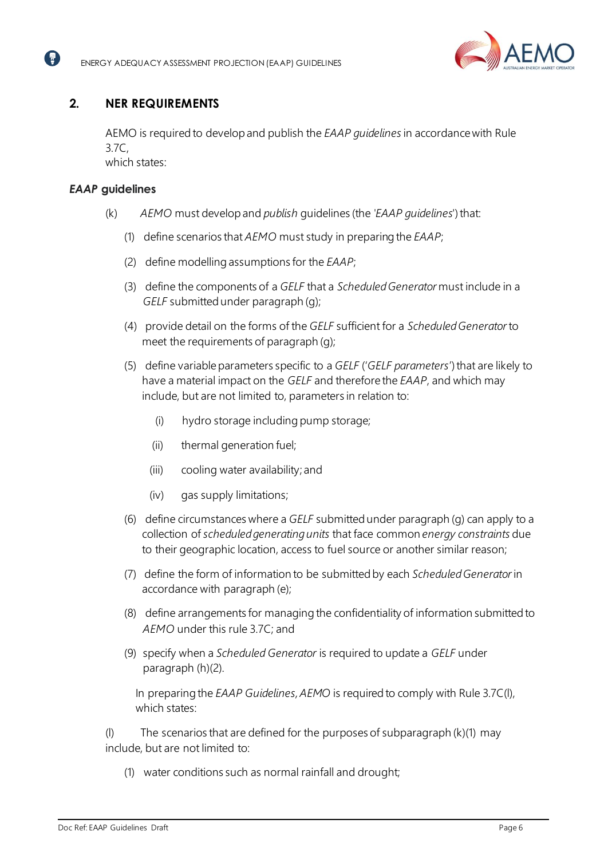

## <span id="page-5-0"></span>**2. NER REQUIREMENTS**

AEMO is required to developand publish the *EAAP guidelines*in accordancewith Rule 3.7C,

which states:

## *EAAP* **guidelines**

2

- (k) *AEMO* must developand *publish* guidelines (the *'EAAP guidelines*')that:
	- (1) define scenarios that *AEMO* must study in preparing the *EAAP*;
	- (2) define modelling assumptions for the *EAAP*;
	- (3) define the components of a *GELF* that a *ScheduledGenerator* must include in a *GELF* submitted under paragraph (g);
	- (4) provide detail on the forms of the *GELF* sufficient for a *ScheduledGenerator*to meet the requirements of paragraph (g);
	- (5) define variableparameters specific to a *GELF* ('*GELF parameters*')that are likely to have a material impact on the *GELF* and therefore the *EAAP*, and which may include, but are not limited to, parameters in relation to:
		- (i) hydro storage including pump storage;
		- (ii) thermal generation fuel;
		- (iii) cooling water availability; and
		- (iv) gas supply limitations;
	- (6) define circumstances where a *GELF* submittedunder paragraph (g) can apply to a collection of *scheduledgeneratingunits* that face common *energy constraints* due to their geographic location, access to fuel source or another similar reason;
	- (7) define the form of information to be submitted by each *ScheduledGenerator*in accordance with paragraph (e);
	- (8) define arrangements for managing the confidentiality of information submitted to *AEMO* under this rule 3.7C; and
	- (9) specify when a *Scheduled Generator* is required to update a *GELF* under paragraph (h)(2).

In preparing the *EAAP Guidelines,AEMO* is required to comply with Rule 3.7C(l), which states:

(l) The scenarios that are defined for the purposes of subparagraph (k)(1) may include, but are not limited to:

(1) water conditions such as normal rainfall and drought;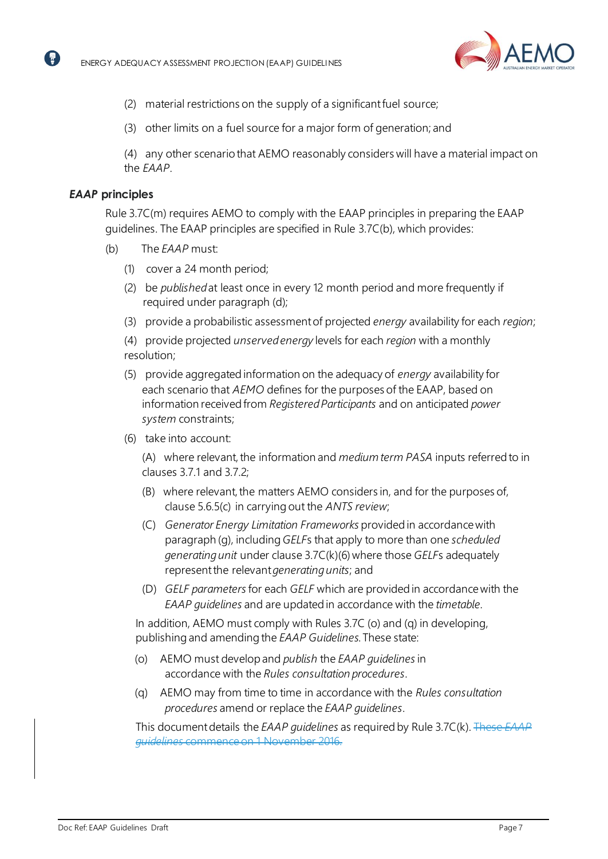

- (2) material restrictions on the supply of a significantfuel source;
- (3) other limits on a fuel source for a major form of generation; and

(4) any other scenario that AEMO reasonably considers will have a material impact on the *EAAP*.

#### *EAAP* **principles**

2

Rule 3.7C(m) requires AEMO to comply with the EAAP principles in preparing the EAAP guidelines. The EAAP principles are specified in Rule 3.7C(b), which provides:

- (b) The *EAAP* must:
	- (1) cover a 24 month period;
	- (2) be *published*at least once in every 12 month period and more frequently if required under paragraph (d);
	- (3) provide a probabilistic assessmentof projected *energy* availability for each *region*;

(4) provide projected *unservedenergy* levels for each *region* with a monthly resolution;

- (5) provide aggregated information on the adequacy of *energy* availability for each scenario that *AEMO* defines for the purposes of the EAAP, based on information receivedfrom *RegisteredParticipants* and on anticipated *power system* constraints;
- (6) take into account:

(A) where relevant, the information and *medium term PASA* inputs referred to in clauses 3.7.1 and 3.7.2;

- (B) where relevant, the matters AEMO considers in, and for the purposes of, clause 5.6.5(c) in carrying out the *ANTS review*;
- (C) *Generator Energy Limitation Frameworks* provided in accordancewith paragraph (g), including*GELF*s that apply to more than one *scheduled generatingunit* under clause 3.7C(k)(6)where those *GELF*s adequately representthe relevant*generatingunits*; and
- (D) *GELF parameters*for each *GELF* which are provided in accordancewith the *EAAP guidelines* and are updated in accordance with the *timetable*.

In addition, AEMO must comply with Rules 3.7C (o) and (q) in developing, publishing and amending the *EAAP Guidelines*. These state:

- (o) AEMO must developand *publish* the *EAAP guidelines*in accordance with the *Rules consultation procedures*.
- (q) AEMO may from time to time in accordance with the *Rules consultation procedures* amend or replace the *EAAP guidelines*.

This documentdetails the *EAAP guidelines* as required by Rule 3.7C(k). These *EAAP guidelines* commenceon 1 November 2016.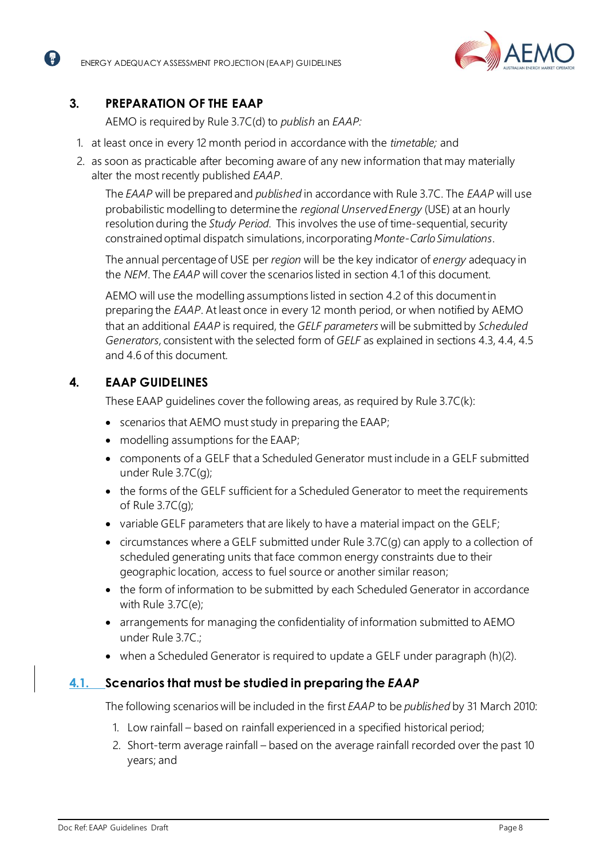

## <span id="page-7-0"></span>**3. PREPARATION OF THE EAAP**

A

AEMO is required by Rule 3.7C(d) to *publish* an *EAAP:*

- 1. at least once in every 12 month period in accordance with the *timetable;* and
- 2. as soon as practicable after becoming aware of any new information that may materially alter the most recently published *EAAP*.

The *EAAP* will be prepared and *published* in accordance with Rule 3.7C. The *EAAP* will use probabilistic modelling to determine the *regional UnservedEnergy* (USE) at an hourly resolution during the *Study Period*. This involves the use of time-sequential, security constrained optimal dispatch simulations, incorporating *Monte-CarloSimulations*.

The annual percentageof USE per *region* will be the key indicator of *energy* adequacy in the *NEM*. The *EAAP* will cover the scenarios listed in section [4.1](#page-7-3) of this document.

AEMO will use the modelling assumptions listed in sectio[n 4.2](#page-8-1) of this documentin preparing the *EAAP*. At least once in every 12 month period, or when notified by AEMO that an additional *EAAP* is required, the *GELF parameters* will be submitted by *Scheduled Generators,* consistent with the selected form of *GELF* as explained in sections [4.3,](#page-11-1) [4.4,](#page-12-2) [4.5](#page-12-3) and [4.6](#page-13-1) of this document.

## <span id="page-7-1"></span>**4. EAAP GUIDELINES**

These EAAP guidelines cover the following areas, as required by Rule 3.7C(k):

- scenarios that AEMO must study in preparing the EAAP;
- modelling assumptions for the EAAP;
- components of a GELF that a Scheduled Generator must include in a GELF submitted under Rule 3.7C(g);
- the forms of the GELF sufficient for a Scheduled Generator to meet the requirements of Rule 3.7C(g);
- variable GELF parameters that are likely to have a material impact on the GELF;
- circumstances where a GELF submitted under Rule 3.7C(g) can apply to a collection of scheduled generating units that face common energy constraints due to their geographic location, access to fuel source or another similar reason;
- the form of information to be submitted by each Scheduled Generator in accordance with Rule 3.7C(e);
- arrangements for managing the confidentiality of information submitted to AEMO under Rule 3.7C.;
- when a Scheduled Generator is required to update a GELF under paragraph (h)(2).

## <span id="page-7-3"></span><span id="page-7-2"></span>**4.1. Scenarios that must be studied in preparing the** *EAAP*

The following scenarios will be included in the first *EAAP* to be *published* by 31 March 2010:

- 1. Low rainfall based on rainfall experienced in a specified historical period;
- 2. Short-term average rainfall based on the average rainfall recorded over the past 10 years; and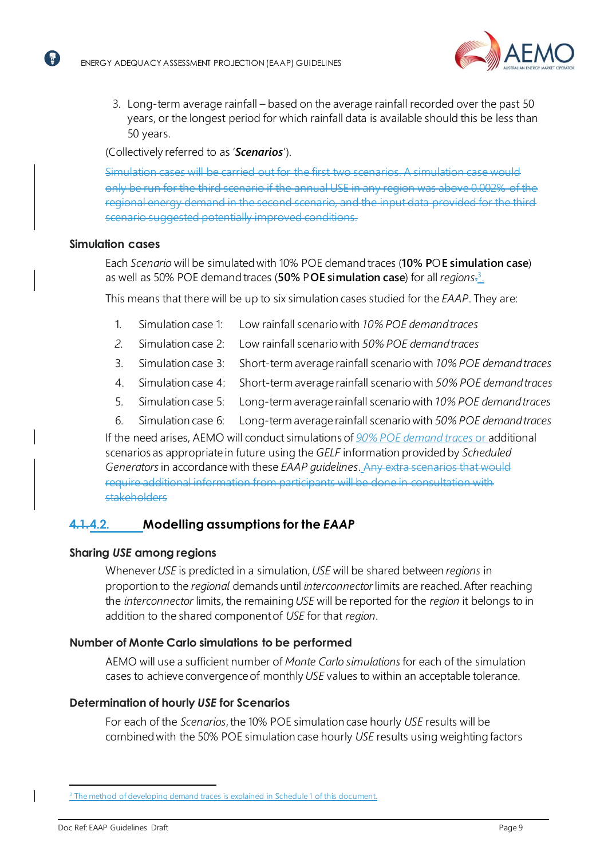

3. Long-term average rainfall – based on the average rainfall recorded over the past 50 years, or the longest period for which rainfall data is available should this be less than 50 years.

(Collectively referred to as '*Scenarios*').

Simulation cases will be carried out for the first two scenarios. only be run for the third scenario if the annual USE in any region was above 0.002% regional energy demand in the second scenario, and the input data provided for the third scenario suggested potentially improved conditions.

#### **Simulation cases**

2

Each *Scenario* will be simulated with 10% POE demand traces (**10% P**O**E simulation case**) as well as 50% POE demand traces (50% POE simulation case) for all *regions*.<sup>3</sup>.

This means that there will be up to six simulation cases studied for the *EAAP*. They are:

- 1. Simulation case 1: Low rainfall scenario with *10% POE demandtraces*
- *2.* Simulation case 2: Low rainfall scenario with *50% POE demandtraces*
- 3. Simulation case 3: Short-term average rainfall scenario with *10% POE demandtraces*
- 4. Simulation case 4: Short-term average rainfall scenario with *50% POE demandtraces*
- 5. Simulation case 5: Long-term average rainfall scenario with *10% POE demandtraces*
- 6. Simulation case 6: Long-term average rainfall scenario with *50% POE demandtraces*

If the need arises, AEMO will conduct simulations of *90% POE demand traces* or additional scenarios as appropriate in future using the *GELF* information provided by *Scheduled Generators*in accordancewith these *EAAP guidelines*. Any extra scenarios that would  $\overline{\text{line}}$  additional information from participants will be done in consultation with stakeholders

### <span id="page-8-1"></span><span id="page-8-0"></span>**4.1.4.2. Modelling assumptions for the** *EAAP*

#### **Sharing** *USE* **among regions**

Whenever*USE* is predicted in a simulation,*USE* will be shared between *regions* in proportion to the *regional* demands until *interconnector*limits are reached.After reaching the *interconnector* limits, the remaining*USE* will be reported for the *region* it belongs to in addition to the shared componentof *USE* for that *region*.

#### **Number of Monte Carlo simulations to be performed**

AEMO will use a sufficient number of *Monte Carlo simulations*for each of the simulation cases to achieve convergence of monthly *USE* values to within an acceptable tolerance.

#### **Determination of hourly** *USE* **for Scenarios**

For each of the *Scenarios*, the 10% POE simulation case hourly USE results will be combined with the 50% POE simulation case hourly *USE* results using weightingfactors

 $\mathbf l$ 

<sup>&</sup>lt;sup>3</sup> The method of developing demand traces is explained in Schedule 1 of this document.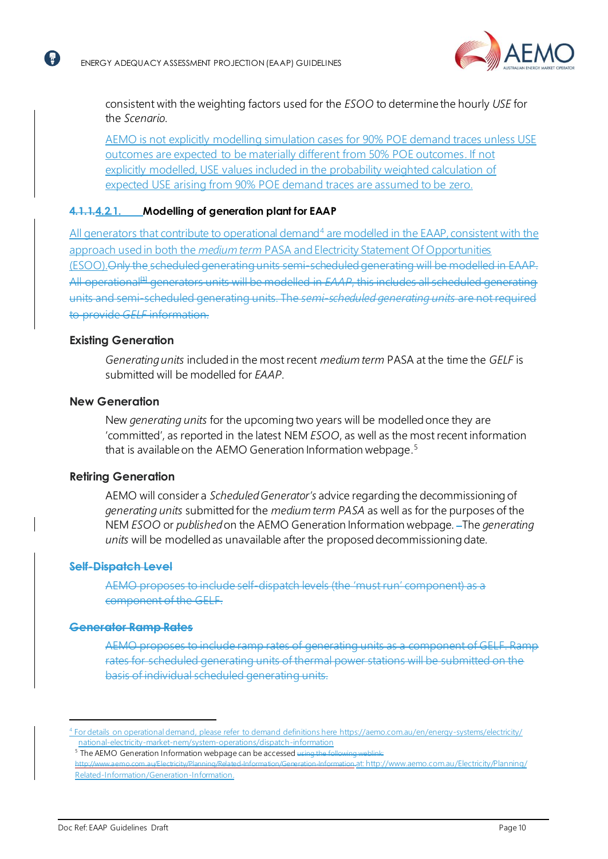

consistent with the weighting factors used for the *ESOO* to determine the hourly *USE* for the *Scenario*.

AEMO is not explicitly modelling simulation cases for 90% POE demand traces unless USE outcomes are expected to be materially different from 50% POE outcomes. If not explicitly modelled, USE values included in the probability weighted calculation of expected USE arising from 90% POE demand traces are assumed to be zero.

#### **4.1.1.4.2.1. Modelling of generation plant for EAAP**

All generators that contribute to operational demand<sup>4</sup> are modelled in the EAAP, consistent with the approach used in both the *medium term* PASA and Electricity Statement Of Opportunities (ESOO).Only the scheduled generating units semi-scheduled generating will be modelled in EAAP. All operational<sup>[4]</sup> generators units will be modelled in *EAAP*, this includes all scheduled generating units and semi-scheduled generating units. The *semi-scheduled generating units* are not required to provide *GELF* information.

#### **Existing Generation**

【 帚 】

*Generatingunits* includedin the most recent *medium term* PASA at the time the *GELF* is submitted will be modelled for *EAAP*.

#### **New Generation**

New *generating units* for the upcoming two years will be modelled once they are 'committed', as reported in the latest NEM *ESOO*, as well as the most recent information that is available on the AEMO Generation Information webpage.<sup>5</sup>

#### **Retiring Generation**

AEMO will consider a *ScheduledGenerator's* advice regarding the decommissioning of *generating units* submittedfor the *medium term PASA* as well as for the purposes of the NEM *ESOO* or *published*on the AEMO Generation Information webpage. The *generating units* will be modelled as unavailable after the proposed decommissioning date.

#### **Self-Dispatch Level**

AEMO proposes to include self-dispatch levels (the 'must run' component) component of the GELF.

#### **Generator Ramp Rates**

AEMO proposes to include ramp rates of generating units as a component of GELF. Ramp rates for scheduled generating units of thermal power stations will be submitted on the basis of individual scheduled generating units.

<sup>4</sup> For details on operational demand, please refer to demand definitions here [https://aemo.com.au/en/energy-systems/electricity/](https://aemo.com.au/en/energy-systems/electricity/national-electricity-market-nem/system-operations/dispatch-information) [national-electricity-market-nem/system-operations/dispatch-information](https://aemo.com.au/en/energy-systems/electricity/national-electricity-market-nem/system-operations/dispatch-information) 

<sup>&</sup>lt;sup>5</sup> The AEMO Generation Information webpage can be accessed using the following weblink:

http://www.aemo.com.au/Electricity/Planning/Related-Information/Generation-Information.at: http://www.aemo.com.au/Electricity/Planning/ Related-Information/Generation-Information.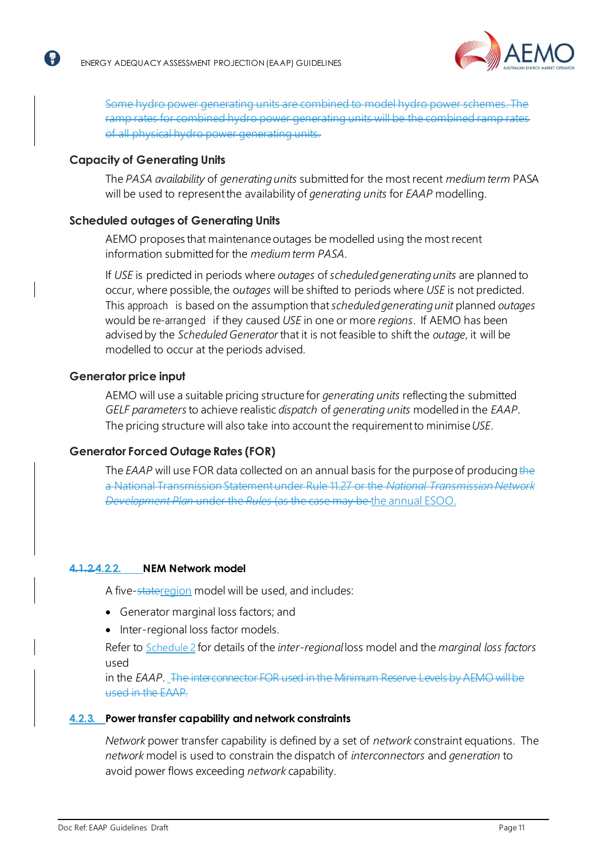

Some hydro power generating units are combined to rates for combined hydro power generating units will be the combined rates of all physical hydro power generating units.

#### **Capacity of Generating Units**

12

The *PASA availability* of *generatingunits* submittedfor the most recent *medium term* PASA will be used to representthe availability of *generating units* for *EAAP* modelling.

#### **Scheduled outages of Generating Units**

AEMO proposes that maintenance outages be modelled using the most recent information submitted for the *medium term PASA*.

If *USE* is predicted in periods where *outages* of *scheduledgeneratingunits* are planned to occur, where possible, the *outages* will be shifted to periods where USE is not predicted. This approach is based on the assumption that*scheduledgeneratingunit* planned *outages* would be re-arranged if they caused *USE* in one or more *regions*. If AEMO has been advised by the *Scheduled Generator* that it is not feasible to shift the *outage*, it will be modelled to occur at the periods advised.

#### **Generator price input**

AEMO will use a suitable pricing structure for *generating units* reflecting the submitted *GELF parameters*to achieve realistic *dispatch* of *generating units* modelled in the *EAAP*. The pricing structure will also take into account the requirementto minimise*USE*.

### **Generator Forced Outage Rates (FOR)**

The *EAAP* will use FOR data collected on an annual basis for the purpose of producing the a National Transmission Statementunder Rule 11.27 or the *National Transmission Network Development Plan* under the *Rules* (as the case may be the annual ESOO.

#### **4.1.2.4.2.2. NEM Network model**

A five-stateregion model will be used, and includes:

- Generator marginal loss factors; and
- Inter-regional loss factor models.

Refer to [Schedule](#page-17-1) 2 for details of the *inter-regional* loss model and the *marginal loss factors* used

in the *EAAP*. The interconnector FOR used in the Minimum Reserve Levels by AEMO will be used in the EAAP.

#### **4.2.3. Power transfer capability and network constraints**

*Network* power transfer capability is defined by a set of *network* constraint equations. The *network* model is used to constrain the dispatch of *interconnectors* and *generation* to avoid power flows exceeding *network* capability.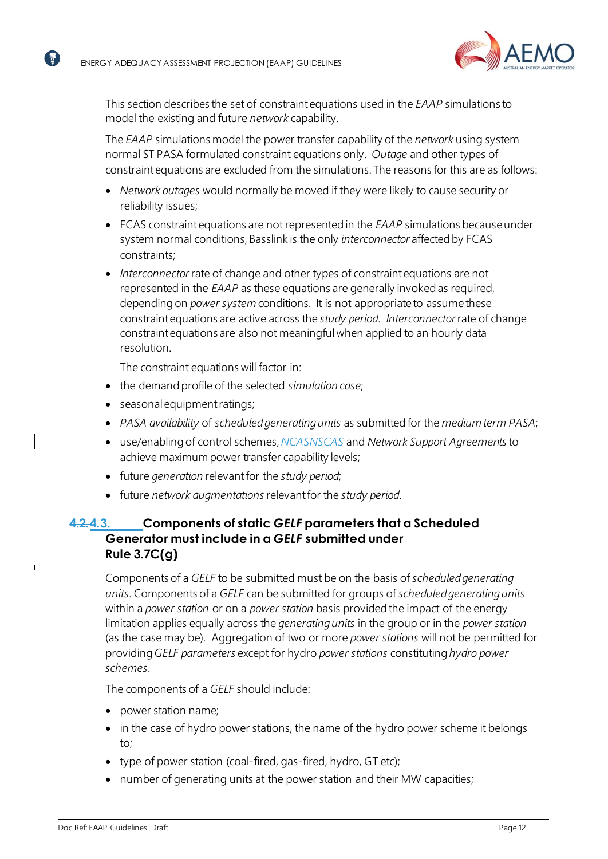$\blacksquare$ 



This section describes the set of constraintequations used in the *EAAP* simulations to model the existing and future *network* capability.

The *EAAP* simulations model the power transfer capability of the *network* using system normal ST PASA formulated constraint equations only. *Outage* and other types of constraintequations are excluded from the simulations. The reasons for this are as follows:

- *Network outages* would normally be moved if they were likely to cause security or reliability issues;
- FCAS constraintequations are not representedin the *EAAP* simulations becauseunder system normal conditions, Basslink is the only *interconnector* affected by FCAS constraints;
- *Interconnector*rate of change and other types of constraintequations are not represented in the *EAAP* as these equations are generally invokedas required, depending on *power system* conditions. It is not appropriate to assume these constraintequations are active across the *study period*. *Interconnector*rate of change constraintequations are also not meaningful when applied to an hourly data resolution.

The constraint equations will factor in:

- the demand profile of the selected *simulation case*;
- seasonal equipmentratings;
- *PASA availability* of *scheduledgeneratingunits* as submitted for the *medium term PASA*;
- use/enablingof control schemes,*NCASNSCAS* and *Network Support Agreements*to achieve maximum power transfer capability levels;
- future *generation* relevantfor the *study period*;
- future *network augmentations*relevantfor the *study period*.

## <span id="page-11-1"></span><span id="page-11-0"></span>**4.2.4.3. Components of static** *GELF* **parameters that a Scheduled Generator must include in a** *GELF* **submitted under Rule 3.7C(g)**

Components of a *GELF* to be submitted must be on the basis of *scheduledgenerating units*. Components of a *GELF* can be submitted for groups of *scheduledgeneratingunits* within a *power station* or on a *power station* basis providedthe impact of the energy limitation applies equally across the *generatingunits* in the group or in the *power station* (as the case may be). Aggregation of two or more *power stations* will not be permitted for providing*GELF parameters* except for hydro *power stations* constituting*hydro power schemes*.

The components of a *GELF* should include:

- power station name;
- in the case of hydro power stations, the name of the hydro power scheme it belongs to;
- type of power station (coal-fired, gas-fired, hydro, GT etc);
- number of generating units at the power station and their MW capacities;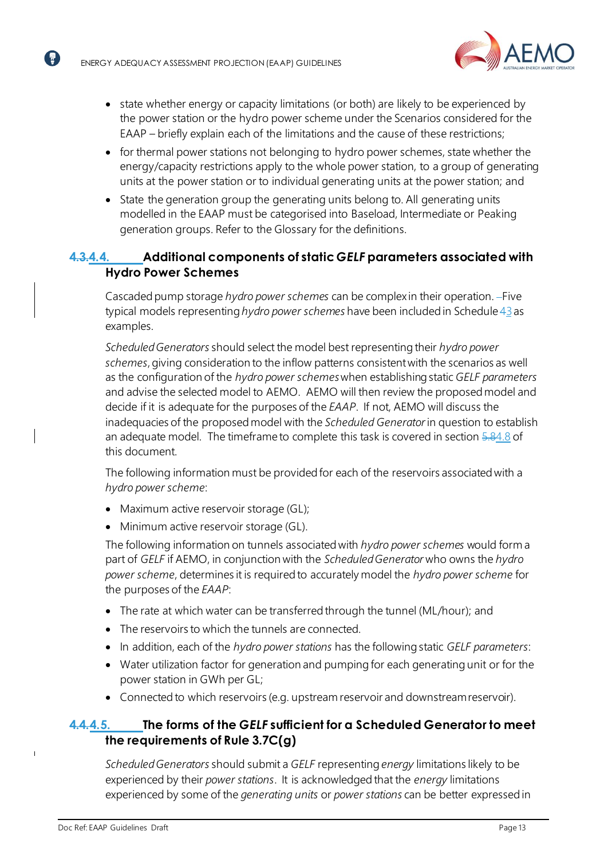(R)



- state whether energy or capacity limitations (or both) are likely to be experienced by the power station or the hydro power scheme under the Scenarios considered for the EAAP – briefly explain each of the limitations and the cause of these restrictions;
- for thermal power stations not belonging to hydro power schemes, state whether the energy/capacity restrictions apply to the whole power station, to a group of generating units at the power station or to individual generating units at the power station; and
- State the generation group the generating units belong to. All generating units modelled in the EAAP must be categorised into Baseload, Intermediate or Peaking generation groups. Refer to the Glossary for the definitions.

## <span id="page-12-2"></span><span id="page-12-0"></span>**4.3.4.4. Additional components of static** *GELF* **parameters associated with Hydro Power Schemes**

Cascaded pump storage *hydro power schemes* can be complex in their operation. - Five typical models representing *hydro power schemes* have been included in Schedule 43 as examples.

*ScheduledGenerators* should select the model best representing their *hydro power schemes*,giving consideration to the inflow patterns consistentwith the scenarios as well as the configuration of the *hydro power schemes*when establishingstatic *GELF parameters* and advise the selected model to AEMO. AEMO will then review the proposed model and decide if it is adequate for the purposes of the *EAAP*. If not, AEMO will discuss the inadequacies of the proposed model with the *Scheduled Generator*in question to establish an adequate model. The timeframe to complete this task is covered in section 5.[84.8](#page-14-4) of this document.

The following information must be provided for each of the reservoirs associated with a *hydro power scheme*:

- Maximum active reservoir storage (GL);
- Minimum active reservoir storage (GL).

The following information on tunnels associated with *hydro power schemes* would form a part of *GELF* if AEMO, in conjunction with the *ScheduledGenerator* who owns the *hydro power scheme*, determines it is required to accurately model the *hydro power scheme* for the purposes of the *EAAP*:

- The rate at which water can be transferred through the tunnel (ML/hour); and
- The reservoirs to which the tunnels are connected.
- In addition, each of the *hydro power stations* has the followingstatic *GELF parameters*:
- Water utilization factor for generation and pumping for each generating unit or for the power station in GWh per GL;
- Connected to which reservoirs (e.g. upstream reservoir and downstream reservoir).

## <span id="page-12-3"></span><span id="page-12-1"></span>**4.4.4.5. The forms of the** *GELF* **sufficient for a Scheduled Generator to meet the requirements of Rule 3.7C(g)**

*ScheduledGenerators* should submit a *GELF* representing *energy* limitations likely to be experienced by their *power stations*. It is acknowledged that the *energy* limitations experienced by some of the *generating units* or *power stations* can be better expressedin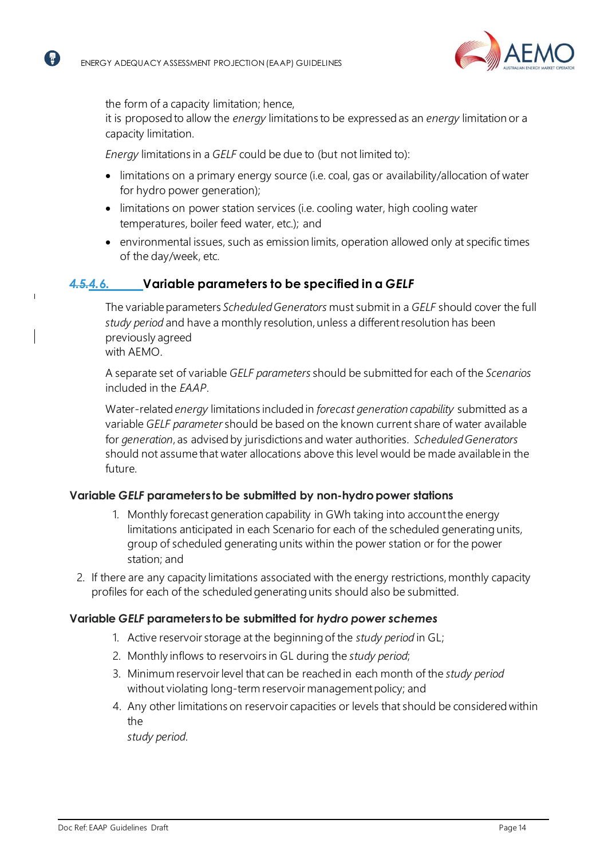

the form of a capacity limitation; hence,

it is proposedto allow the *energy* limitations to be expressedas an *energy* limitation or a capacity limitation.

*Energy* limitations in a *GELF* could be due to (but not limited to):

- limitations on a primary energy source (i.e. coal, gas or availability/allocation of water for hydro power generation);
- limitations on power station services (i.e. cooling water, high cooling water temperatures, boiler feed water, etc.); and
- environmental issues, such as emission limits, operation allowed only at specific times of the day/week, etc.

## <span id="page-13-1"></span><span id="page-13-0"></span>*4.5.4.6.* **Variable parameters to be specified in a** *GELF*

The variable parameters *Scheduled Generators* must submit in a *GELF* should cover the full *study period* and have a monthly resolution, unless a differentresolution has been previously agreed with AEMO.

A separate set of variable *GELF parameters* should be submitted for each of the *Scenarios* included in the *EAAP*.

Water-related *energy* limitations includedin *forecast generation capability* submitted as a variable *GELF parameter* should be based on the known current share of water available for *generation*, as advisedby jurisdictions and water authorities. *ScheduledGenerators* should not assume that water allocations above this level would be made available in the future.

### **Variable** *GELF* **parameters to be submitted by non-hydropower stations**

- 1. Monthly forecast generation capability in GWh taking into accountthe energy limitations anticipated in each Scenario for each of the scheduled generating units, group of scheduled generating units within the power station or for the power station; and
- 2. If there are any capacity limitations associated with the energy restrictions, monthly capacity profiles for each of the scheduled generating units should also be submitted.

#### **Variable** *GELF* **parameters to be submitted for** *hydro power schemes*

- 1. Active reservoir storage at the beginning of the *study period* in GL;
- 2. Monthly inflows to reservoirs in GL during the *study period*;
- 3. Minimum reservoirlevel that can be reached in each month of the *study period* without violating long-term reservoir management policy; and
- 4. Any other limitations on reservoir capacities or levels that should be considered within the

*study period*.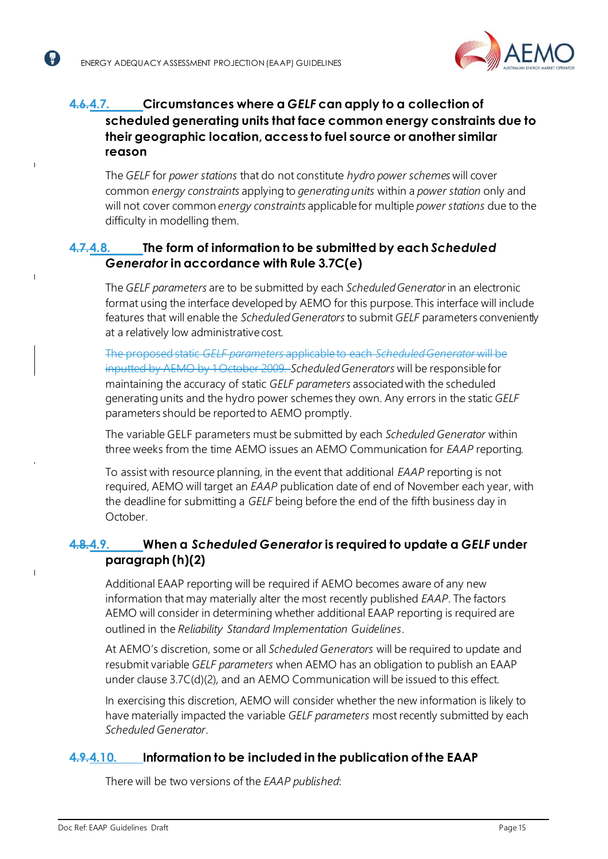$\overline{1}$ 

 $\mathbf{I}$ 



# <span id="page-14-0"></span>**4.6.4.7. Circumstances where a** *GELF* **can apply to a collection of scheduled generating units that face common energy constraints due to their geographic location, access to fuel source or another similar reason**

The *GELF* for *power stations* that do not constitute *hydro power schemes* will cover common *energy constraints* applying to *generatingunits* within a *power station* only and will not cover common *energy constraints* applicable for multiple *power stations* due to the difficulty in modelling them.

## <span id="page-14-4"></span><span id="page-14-1"></span>**4.7.4.8. The form of information to be submitted by each** *Scheduled Generator* **in accordance with Rule 3.7C(e)**

The *GELF parameters* are to be submitted by each *ScheduledGenerator*in an electronic format using the interface developed by AEMO for this purpose. This interface will include features that will enable the *ScheduledGenerators*to submit *GELF* parameters conveniently at a relatively low administrative cost.

The proposedstatic *GELF parameters* applicable to each *ScheduledGenerator* will be inputted by AEMO by 1 October 2009. *ScheduledGenerators* will be responsible for maintaining the accuracy of static *GELF parameters* associatedwith the scheduled generating units and the hydro power schemes they own. Any errors in the static *GELF* parameters should be reported to AEMO promptly.

The variable GELF parameters must be submitted by each *Scheduled Generator* within three weeks from the time AEMO issues an AEMO Communication for *EAAP* reporting.

To assist with resource planning, in the event that additional *EAAP* reporting is not required, AEMO will target an *EAAP* publication date of end of November each year, with the deadline for submitting a *GELF* being before the end of the fifth business day in October.

## <span id="page-14-2"></span>**4.8.4.9. When a** *Scheduled Generator* **is required to update a** *GELF* **under paragraph (h)(2)**

Additional EAAP reporting will be required if AEMO becomes aware of any new information that may materially alter the most recently published *EAAP*. The factors AEMO will consider in determining whether additional EAAP reporting is required are outlined in the *Reliability Standard Implementation Guidelines*.

At AEMO's discretion, some or all *Scheduled Generators* will be required to update and resubmit variable *GELF parameters* when AEMO has an obligation to publish an EAAP under clause 3.7C(d)(2)*,* and an AEMO Communication will be issued to this effect.

In exercising this discretion, AEMO will consider whether the new information is likely to have materially impacted the variable *GELF parameters* most recently submitted by each *Scheduled Generator*.

## <span id="page-14-5"></span><span id="page-14-3"></span>**4.9.4.10. Information to be included in the publication of the EAAP**

There will be two versions of the *EAAP published*: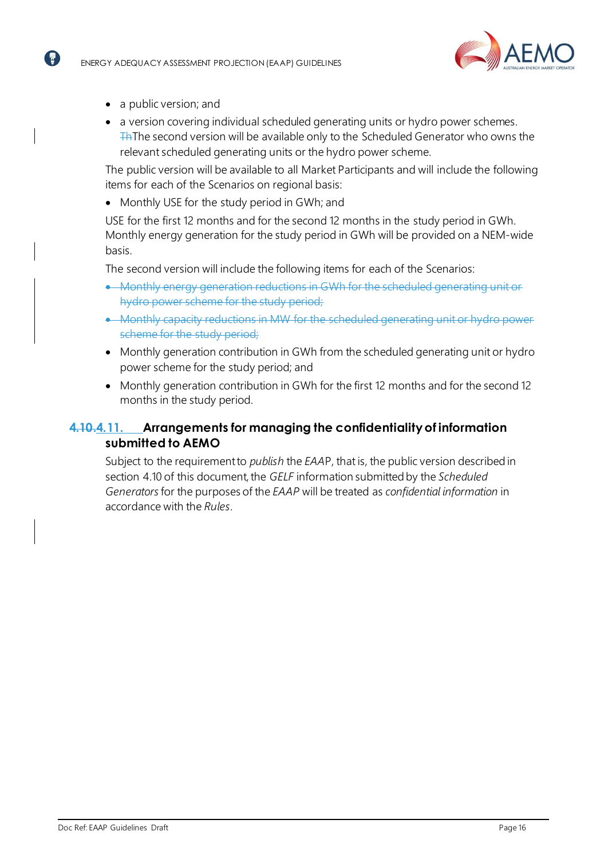

• a public version; and

6

• a version covering individual scheduled generating units or hydro power schemes. The second version will be available only to the Scheduled Generator who owns the relevant scheduled generating units or the hydro power scheme.

The public version will be available to all Market Participants and will include the following items for each of the Scenarios on regional basis:

• Monthly USE for the study period in GWh; and

USE for the first 12 months and for the second 12 months in the study period in GWh. Monthly energy generation for the study period in GWh will be provided on a NEM-wide basis.

The second version will include the following items for each of the Scenarios:

- Monthly energy generation reductions in GWh for the scheduled generating unit or hydro power scheme for the study period;
- Monthly capacity reductions in MW for the scheduled generation scheme for the study period;
- Monthly generation contribution in GWh from the scheduled generating unit or hydro power scheme for the study period; and
- Monthly generation contribution in GWh for the first 12 months and for the second 12 months in the study period.

## <span id="page-15-0"></span>**4.10.4.11. Arrangements for managing the confidentialityof information submitted to AEMO**

Subject to the requirementto *publish* the *EAA*P, that is, the public version described in section [4.10](#page-14-5) of this document, the *GELF* information submitted by the *Scheduled Generators*for the purposes of the *EAAP* will be treated as *confidential information* in accordance with the *Rules*.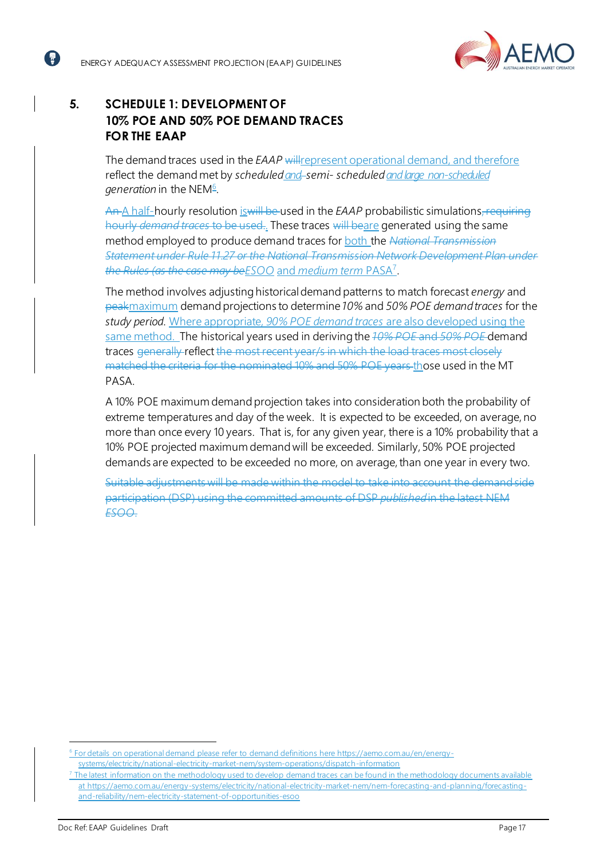ั ₹ิ `



# <span id="page-16-0"></span>**5. SCHEDULE 1: DEVELOPMENT OF 10% POE AND 50% POE DEMAND TRACES FOR THE EAAP**

The demand traces used in the *EAAP* willrepresent operational demand, and therefore reflect the demand met by *scheduled and*-semi- scheduled and large non-scheduled ge*neration* in the NEM<del>®</del>.

An A half-hourly resolution is will be used in the *EAAP* probabilistic simulations, requiring hourly *demand traces* to be used.. These traces will beare generated using the same method employed to produce demand traces for **both the** *National Transmission Statement under Rule 11.27 or the National Transmission Network Development Plan under the Rules (as the case may beESOO* and *medium term* PASA<sup>7</sup> .

The method involves adjusting historicaldemand patterns to match forecast *energy* and peakmaximum demandprojections to determine *10%* and *50% POE demandtraces* for the *study period*. Where appropriate, *90% POE demand traces* are also developed using the same method. The historical years used in deriving the *10% POE* and *50% POE* demand traces generally reflect the most recent year/s in which the load traces most closely matched the criteria for the nominated 10% and 50% POE years those used in the MT PASA.

A 10% POE maximum demand projection takes into consideration both the probability of extreme temperatures and day of the week. It is expected to be exceeded, on average, no more than once every 10 years. That is, for any given year, there is a 10% probability that a 10% POE projected maximum demand will be exceeded. Similarly, 50% POE projected demands are expected to be exceeded no more, on average, than one year in every two.

Suitable adjustments will be made within the model to take into account the demand side participation (DSP) using the committed amounts of DSP *published*in the latest NEM *ESOO*.

<sup>&</sup>lt;sup>6</sup> For details on operational demand please refer to demand definitions here [https://aemo.com.au/en/energy](https://aemo.com.au/en/energy-systems/electricity/national-electricity-market-nem/system-operations/dispatch-information)[systems/electricity/national-electricity-market-nem/system-operations/dispatch-information](https://aemo.com.au/en/energy-systems/electricity/national-electricity-market-nem/system-operations/dispatch-information)

The latest information on the methodology used to develop demand traces can be found in the methodology documents available at [https://aemo.com.au/energy-systems/electricity/national-electricity-market-nem/nem-forecasting-and-planning/forecasting](https://aemo.com.au/energy-systems/electricity/national-electricity-market-nem/nem-forecasting-and-planning/forecasting-and-reliability/nem-electricity-statement-of-opportunities-esoo)[and-reliability/nem-electricity-statement-of-opportunities-esoo](https://aemo.com.au/energy-systems/electricity/national-electricity-market-nem/nem-forecasting-and-planning/forecasting-and-reliability/nem-electricity-statement-of-opportunities-esoo)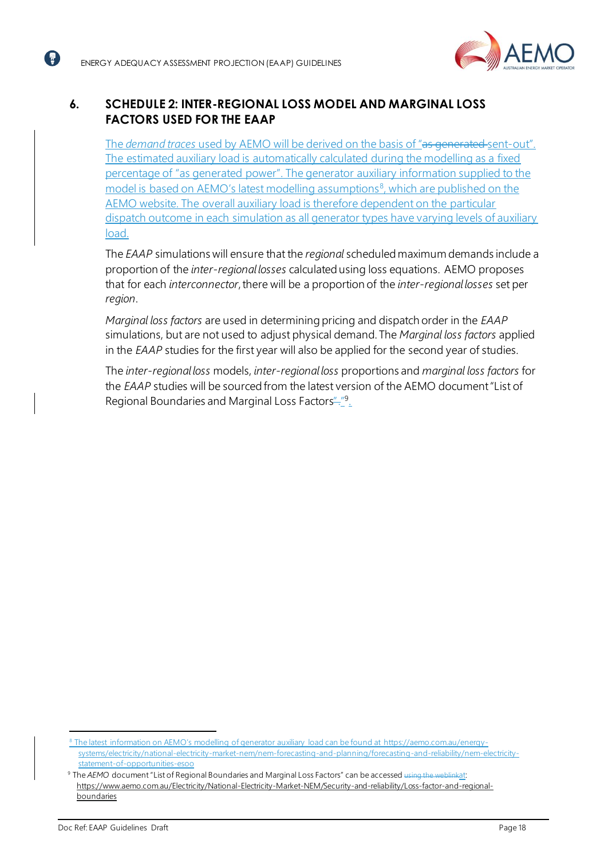( <del>ล</del>ิ`



# <span id="page-17-1"></span><span id="page-17-0"></span>**6. SCHEDULE 2: INTER-REGIONAL LOSS MODEL AND MARGINAL LOSS FACTORS USED FOR THE EAAP**

The *demand traces* used by AEMO will be derived on the basis of "as generated sent-out". The estimated auxiliary load is automatically calculated during the modelling as a fixed percentage of "as generated power". The generator auxiliary information supplied to the model is based on AEMO's latest modelling assumptions<sup>8</sup>, which are published on the AEMO website. The overall auxiliary load is therefore dependent on the particular dispatch outcome in each simulation as all generator types have varying levels of auxiliary load.

The *EAAP* simulations will ensure that the *regional* scheduled maximum demands include a proportion of the *inter-regional losses* calculatedusing loss equations. AEMO proposes that for each *interconnector*,there will be a proportion of the *inter-regional losses* set per *region*.

*Marginal loss factors* are used in determining pricing and dispatch order in the *EAAP* simulations, but are not used to adjust physical demand. The *Marginal loss factors* applied in the *EAAP* studies for the first year will also be applied for the second year of studies.

The *inter-regional loss* models, *inter-regional loss* proportions and *marginal loss factors* for the *EAAP* studies will be sourced from the latest version of the AEMO document "List of Regional Boundaries and Marginal Loss Factors"<sup>."9</sup>.

<sup>&</sup>lt;sup>8</sup> The latest information on AEMO's modelling of generator auxiliary load can be found at [https://aemo.com.au/energy](https://aemo.com.au/energy-systems/electricity/national-electricity-market-nem/nem-forecasting-and-planning/forecasting-and-reliability/nem-electricity-statement-of-opportunities-esoo)[systems/electricity/national-electricity-market-nem/nem-forecasting-and-planning/forecasting-and-reliability/nem-electricity](https://aemo.com.au/energy-systems/electricity/national-electricity-market-nem/nem-forecasting-and-planning/forecasting-and-reliability/nem-electricity-statement-of-opportunities-esoo)[statement-of-opportunities-esoo](https://aemo.com.au/energy-systems/electricity/national-electricity-market-nem/nem-forecasting-and-planning/forecasting-and-reliability/nem-electricity-statement-of-opportunities-esoo)

<sup>9</sup> The *AEMO* document "List of Regional Boundaries and Marginal Loss Factors" can be accessed using the weblinkat: [https://www.aemo.com.au/Electricity/National-Electricity-Market-NEM/Security-and-reliability/Loss-factor-and-regional](https://www.aemo.com.au/Electricity/National-Electricity-Market-NEM/Security-and-reliability/Loss-factor-and-regional-boundaries)**[boundaries](https://www.aemo.com.au/Electricity/National-Electricity-Market-NEM/Security-and-reliability/Loss-factor-and-regional-boundaries)**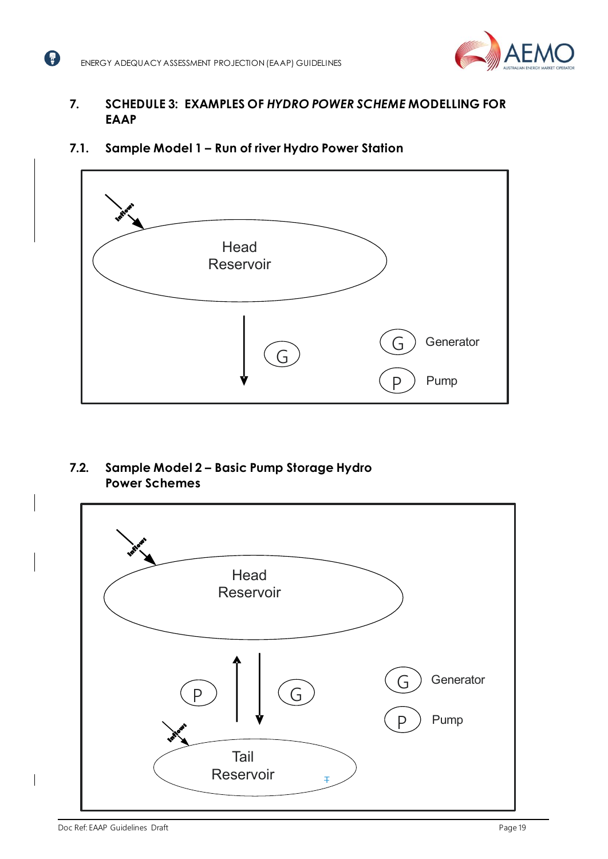

## <span id="page-18-0"></span>**7. SCHEDULE 3: EXAMPLES OF** *HYDRO POWER SCHEME* **MODELLING FOR EAAP**

<span id="page-18-1"></span>



<span id="page-18-2"></span>**7.2. Sample Model 2 – Basic Pump Storage Hydro Power Schemes**

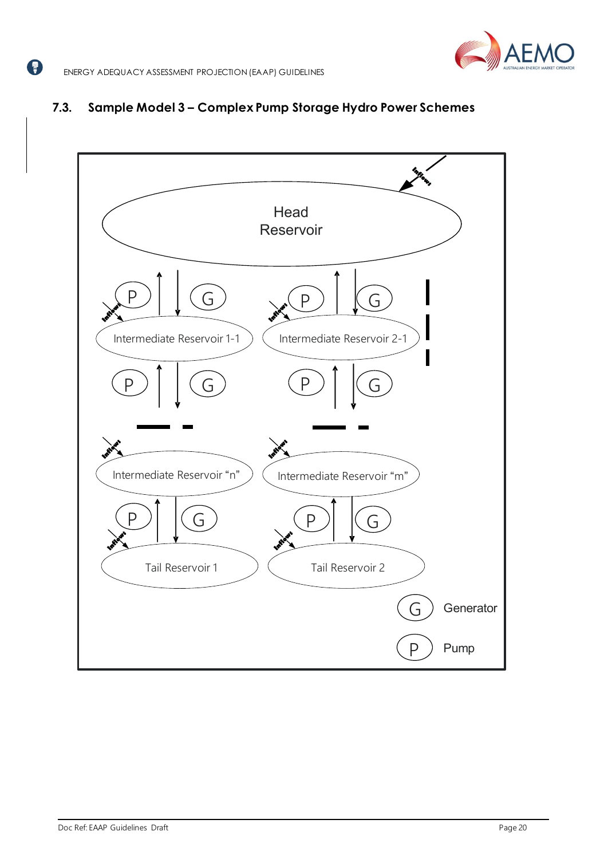# <span id="page-19-0"></span>**7.3. Sample Model 3 – Complex Pump Storage Hydro Power Schemes**